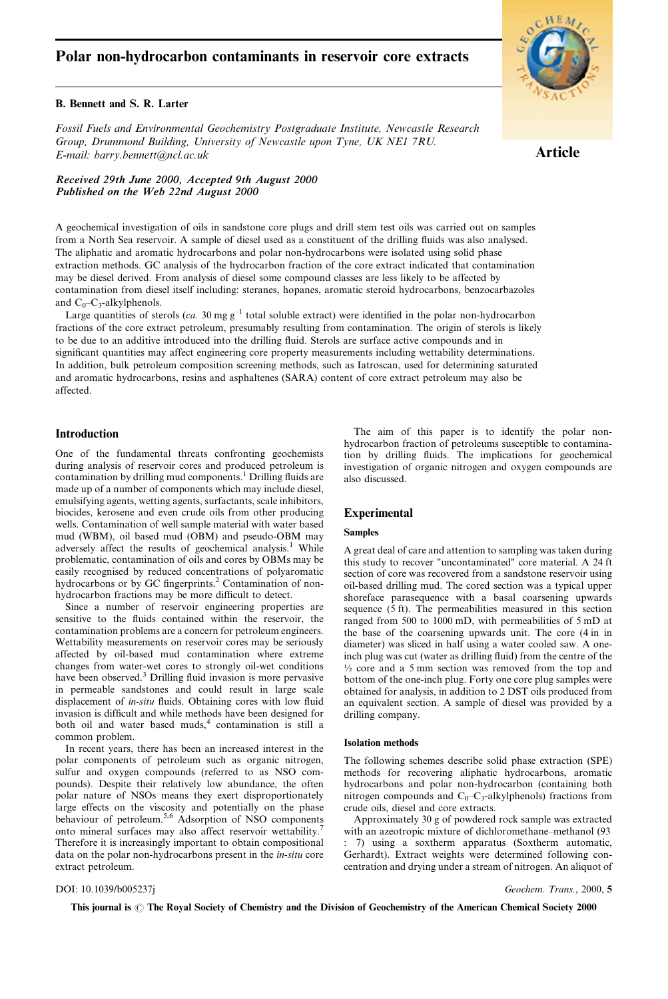# Polar non-hydrocarbon contaminants in reservoir core extracts

## B. Bennett and S. R. Larter

Fossil Fuels and Environmental Geochemistry Postgraduate Institute, Newcastle Research Group, Drummond Building, University of Newcastle upon Tyne, UK NE1 7RU. E-mail: barry.bennett@ncl.ac.uk

Received 29th June 2000, Accepted 9th August 2000 Published on the Web 22nd August 2000



Article

A geochemical investigation of oils in sandstone core plugs and drill stem test oils was carried out on samples from a North Sea reservoir. A sample of diesel used as a constituent of the drilling fluids was also analysed. The aliphatic and aromatic hydrocarbons and polar non-hydrocarbons were isolated using solid phase extraction methods. GC analysis of the hydrocarbon fraction of the core extract indicated that contamination may be diesel derived. From analysis of diesel some compound classes are less likely to be affected by contamination from diesel itself including: steranes, hopanes, aromatic steroid hydrocarbons, benzocarbazoles and  $C_0-C_3$ -alkylphenols.

Large quantities of sterols (ca. 30 mg  $g^{-1}$  total soluble extract) were identified in the polar non-hydrocarbon fractions of the core extract petroleum, presumably resulting from contamination. The origin of sterols is likely to be due to an additive introduced into the drilling fluid. Sterols are surface active compounds and in significant quantities may affect engineering core property measurements including wettability determinations. In addition, bulk petroleum composition screening methods, such as Iatroscan, used for determining saturated and aromatic hydrocarbons, resins and asphaltenes (SARA) content of core extract petroleum may also be affected.

## Introduction

One of the fundamental threats confronting geochemists during analysis of reservoir cores and produced petroleum is contamination by drilling mud components.<sup>1</sup> Drilling fluids are made up of a number of components which may include diesel, emulsifying agents, wetting agents, surfactants, scale inhibitors, biocides, kerosene and even crude oils from other producing wells. Contamination of well sample material with water based mud (WBM), oil based mud (OBM) and pseudo-OBM may adversely affect the results of geochemical analysis.<sup>1</sup> While problematic, contamination of oils and cores by OBMs may be easily recognised by reduced concentrations of polyaromatic hydrocarbons or by GC fingerprints.<sup>2</sup> Contamination of nonhydrocarbon fractions may be more difficult to detect.

Since a number of reservoir engineering properties are sensitive to the fluids contained within the reservoir, the contamination problems are a concern for petroleum engineers. Wettability measurements on reservoir cores may be seriously affected by oil-based mud contamination where extreme changes from water-wet cores to strongly oil-wet conditions have been observed.<sup>3</sup> Drilling fluid invasion is more pervasive in permeable sandstones and could result in large scale displacement of in-situ fluids. Obtaining cores with low fluid invasion is difficult and while methods have been designed for both oil and water based muds, $4$  contamination is still a common problem.

In recent years, there has been an increased interest in the polar components of petroleum such as organic nitrogen, sulfur and oxygen compounds (referred to as NSO compounds). Despite their relatively low abundance, the often polar nature of NSOs means they exert disproportionately large effects on the viscosity and potentially on the phase behaviour of petroleum.<sup>5,6</sup> Adsorption of NSO components onto mineral surfaces may also affect reservoir wettability. Therefore it is increasingly important to obtain compositional data on the polar non-hydrocarbons present in the in-situ core extract petroleum.

The aim of this paper is to identify the polar nonhydrocarbon fraction of petroleums susceptible to contamination by drilling fluids. The implications for geochemical investigation of organic nitrogen and oxygen compounds are also discussed.

## Experimental

### Samples

A great deal of care and attention to sampling was taken during this study to recover "uncontaminated" core material. A 24 ft section of core was recovered from a sandstone reservoir using oil-based drilling mud. The cored section was a typical upper shoreface parasequence with a basal coarsening upwards sequence (5 ft). The permeabilities measured in this section ranged from 500 to 1000 mD, with permeabilities of 5 mD at the base of the coarsening upwards unit. The core (4 in in diameter) was sliced in half using a water cooled saw. A oneinch plug was cut (water as drilling fluid) from the centre of the  $\frac{1}{2}$  core and a 5 mm section was removed from the top and bottom of the one-inch plug. Forty one core plug samples were obtained for analysis, in addition to 2 DST oils produced from an equivalent section. A sample of diesel was provided by a drilling company.

## Isolation methods

The following schemes describe solid phase extraction (SPE) methods for recovering aliphatic hydrocarbons, aromatic hydrocarbons and polar non-hydrocarbon (containing both nitrogen compounds and  $C_0-C_3$ -alkylphenols) fractions from crude oils, diesel and core extracts.

Approximately 30 g of powdered rock sample was extracted with an azeotropic mixture of dichloromethane-methanol (93 : 7) using a soxtherm apparatus (Soxtherm automatic, Gerhardt). Extract weights were determined following concentration and drying under a stream of nitrogen. An aliquot of

DOI: 10.1039/b005237j Geochem. Trans., 2000, 5

This journal is  $\odot$  The Royal Society of Chemistry and the Division of Geochemistry of the American Chemical Society 2000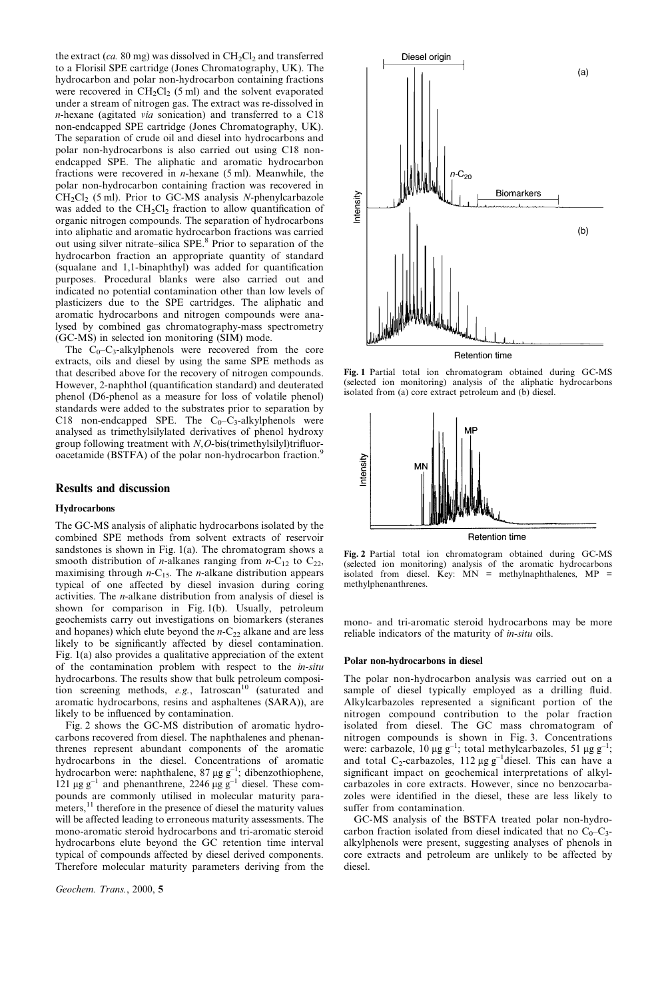the extract (ca. 80 mg) was dissolved in  $CH<sub>2</sub>Cl<sub>2</sub>$  and transferred to a Florisil SPE cartridge (Jones Chromatography, UK). The hydrocarbon and polar non-hydrocarbon containing fractions were recovered in  $CH_2Cl_2$  (5 ml) and the solvent evaporated under a stream of nitrogen gas. The extract was re-dissolved in n-hexane (agitated via sonication) and transferred to a C18 non-endcapped SPE cartridge (Jones Chromatography, UK). The separation of crude oil and diesel into hydrocarbons and polar non-hydrocarbons is also carried out using C18 nonendcapped SPE. The aliphatic and aromatic hydrocarbon fractions were recovered in *n*-hexane  $(5 \text{ ml})$ . Meanwhile, the polar non-hydrocarbon containing fraction was recovered in  $CH_2Cl_2$  (5 ml). Prior to GC-MS analysis N-phenylcarbazole was added to the  $CH_2Cl_2$  fraction to allow quantification of organic nitrogen compounds. The separation of hydrocarbons into aliphatic and aromatic hydrocarbon fractions was carried out using silver nitrate-silica SPE.<sup>8</sup> Prior to separation of the hydrocarbon fraction an appropriate quantity of standard (squalane and  $1,1$ -binaphthyl) was added for quantification purposes. Procedural blanks were also carried out and indicated no potential contamination other than low levels of plasticizers due to the SPE cartridges. The aliphatic and aromatic hydrocarbons and nitrogen compounds were analysed by combined gas chromatography-mass spectrometry (GC-MS) in selected ion monitoring (SIM) mode.

The  $C_0-C_3$ -alkylphenols were recovered from the core extracts, oils and diesel by using the same SPE methods as that described above for the recovery of nitrogen compounds. However, 2-naphthol (quantification standard) and deuterated phenol (D6-phenol as a measure for loss of volatile phenol) standards were added to the substrates prior to separation by C18 non-endcapped SPE. The  $C_0-C_3$ -alkylphenols were analysed as trimethylsilylated derivatives of phenol hydroxy group following treatment with  $N, O$ -bis(trimethylsilyl)trifluoroacetamide (BSTFA) of the polar non-hydrocarbon fraction.<sup>9</sup>

#### Results and discussion

#### Hydrocarbons

The GC-MS analysis of aliphatic hydrocarbons isolated by the combined SPE methods from solvent extracts of reservoir sandstones is shown in Fig. 1(a). The chromatogram shows a smooth distribution of *n*-alkanes ranging from  $n-C_{12}$  to  $C_{22}$ , maximising through  $n-C_{15}$ . The *n*-alkane distribution appears typical of one affected by diesel invasion during coring activities. The n-alkane distribution from analysis of diesel is shown for comparison in Fig. 1(b). Usually, petroleum geochemists carry out investigations on biomarkers (steranes and hopanes) which elute beyond the  $n-C_{22}$  alkane and are less likely to be significantly affected by diesel contamination. Fig. 1(a) also provides a qualitative appreciation of the extent of the contamination problem with respect to the in-situ hydrocarbons. The results show that bulk petroleum composition screening methods,  $e.g.,$  Iatroscan<sup>10</sup> (saturated and aromatic hydrocarbons, resins and asphaltenes (SARA)), are likely to be influenced by contamination.

Fig. 2 shows the GC-MS distribution of aromatic hydrocarbons recovered from diesel. The naphthalenes and phenanthrenes represent abundant components of the aromatic hydrocarbons in the diesel. Concentrations of aromatic hydrocarbon were: naphthalene,  $87 \mu g g^{-1}$ ; dibenzothiophene, 121  $\mu$ g g<sup>-1</sup> and phenanthrene, 2246  $\mu$ g g<sup>-1</sup> diesel. These compounds are commonly utilised in molecular maturity parameters,<sup>11</sup> therefore in the presence of diesel the maturity values will be affected leading to erroneous maturity assessments. The mono-aromatic steroid hydrocarbons and tri-aromatic steroid hydrocarbons elute beyond the GC retention time interval typical of compounds affected by diesel derived components. Therefore molecular maturity parameters deriving from the

Geochem. Trans., 2000, 5



Fig. 1 Partial total ion chromatogram obtained during GC-MS (selected ion monitoring) analysis of the aliphatic hydrocarbons isolated from (a) core extract petroleum and (b) diesel.



**Retention time** 



mono- and tri-aromatic steroid hydrocarbons may be more reliable indicators of the maturity of in-situ oils.

#### Polar non-hydrocarbons in diesel

The polar non-hydrocarbon analysis was carried out on a sample of diesel typically employed as a drilling fluid. Alkylcarbazoles represented a significant portion of the nitrogen compound contribution to the polar fraction isolated from diesel. The GC mass chromatogram of nitrogen compounds is shown in Fig. 3. Concentrations were: carbazole, 10  $\mu$ g g<sup>-1</sup>; total methylcarbazoles, 51  $\mu$ g g<sup>-1</sup>; and total C<sub>2</sub>-carbazoles, 112  $\mu$ g g<sup>-1</sup>diesel. This can have a significant impact on geochemical interpretations of alkylcarbazoles in core extracts. However, since no benzocarbazoles were identified in the diesel, these are less likely to suffer from contamination.

GC-MS analysis of the BSTFA treated polar non-hydrocarbon fraction isolated from diesel indicated that no  $C_0-C_3$ alkylphenols were present, suggesting analyses of phenols in core extracts and petroleum are unlikely to be affected by diesel.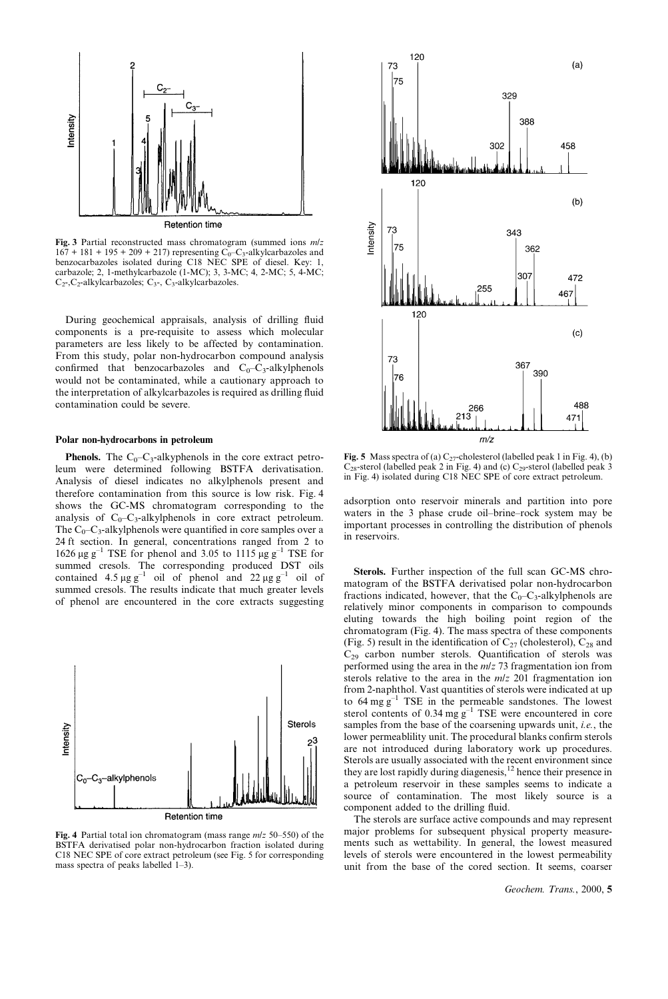

Fig. 3 Partial reconstructed mass chromatogram (summed ions m/z  $167 + 181 + 195 + 209 + 217$ ) representing C<sub>0</sub>-C<sub>3</sub>-alkylcarbazoles and benzocarbazoles isolated during C18 NEC SPE of diesel. Key: 1, carbazole; 2, 1-methylcarbazole (1-MC); 3, 3-MC; 4, 2-MC; 5, 4-MC;  $C_2$ -, $C_2$ -alkylcarbazoles;  $C_3$ -,  $C_3$ -alkylcarbazoles.

During geochemical appraisals, analysis of drilling fluid components is a pre-requisite to assess which molecular parameters are less likely to be affected by contamination. From this study, polar non-hydrocarbon compound analysis confirmed that benzocarbazoles and  $C_0-C_3$ -alkylphenols would not be contaminated, while a cautionary approach to the interpretation of alkylcarbazoles is required as drilling fluid contamination could be severe.

#### Polar non-hydrocarbons in petroleum

**Phenols.** The  $C_0-C_3$ -alkyphenols in the core extract petroleum were determined following BSTFA derivatisation. Analysis of diesel indicates no alkylphenols present and therefore contamination from this source is low risk. Fig. 4 shows the GC-MS chromatogram corresponding to the analysis of  $C_0-C_3$ -alkylphenols in core extract petroleum. The  $C_0-C_3$ -alkylphenols were quantified in core samples over a 24 ft section. In general, concentrations ranged from 2 to 1626  $\mu$ g g<sup>-1</sup> TSE for phenol and 3.05 to 1115  $\mu$ g g<sup>-1</sup> TSE for summed cresols. The corresponding produced DST oils contained  $4.5 \mu g g^{-1}$  oil of phenol and  $22 \mu g g^{-1}$  oil of summed cresols. The results indicate that much greater levels of phenol are encountered in the core extracts suggesting



Fig. 4 Partial total ion chromatogram (mass range  $m/z$  50-550) of the BSTFA derivatised polar non-hydrocarbon fraction isolated during C18 NEC SPE of core extract petroleum (see Fig. 5 for corresponding mass spectra of peaks labelled  $1-3$ ).



Fig. 5 Mass spectra of (a)  $C_{27}$ -cholesterol (labelled peak 1 in Fig. 4), (b)  $C_{28}$ -sterol (labelled peak 2 in Fig. 4) and (c)  $C_{29}$ -sterol (labelled peak 3 in Fig. 4) isolated during C18 NEC SPE of core extract petroleum.

adsorption onto reservoir minerals and partition into pore waters in the 3 phase crude oil-brine-rock system may be important processes in controlling the distribution of phenols in reservoirs.

Sterols. Further inspection of the full scan GC-MS chromatogram of the BSTFA derivatised polar non-hydrocarbon fractions indicated, however, that the  $C_0-C_3$ -alkylphenols are relatively minor components in comparison to compounds eluting towards the high boiling point region of the chromatogram (Fig. 4). The mass spectra of these components (Fig. 5) result in the identification of  $C_{27}$  (cholesterol),  $C_{28}$  and  $C_{29}$  carbon number sterols. Quantification of sterols was performed using the area in the m/z 73 fragmentation ion from sterols relative to the area in the  $m/z$  201 fragmentation ion from 2-naphthol. Vast quantities of sterols were indicated at up to  $64 \text{ mg g}^{-1}$  TSE in the permeable sandstones. The lowest sterol contents of  $0.34 \text{ mg g}^{-1}$  TSE were encountered in core samples from the base of the coarsening upwards unit, *i.e.*, the lower permeablility unit. The procedural blanks confirm sterols are not introduced during laboratory work up procedures. Sterols are usually associated with the recent environment since they are lost rapidly during diagenesis,<sup>12</sup> hence their presence in a petroleum reservoir in these samples seems to indicate a source of contamination. The most likely source is a component added to the drilling fluid.

The sterols are surface active compounds and may represent major problems for subsequent physical property measurements such as wettability. In general, the lowest measured levels of sterols were encountered in the lowest permeability unit from the base of the cored section. It seems, coarser

Geochem. Trans., 2000, 5